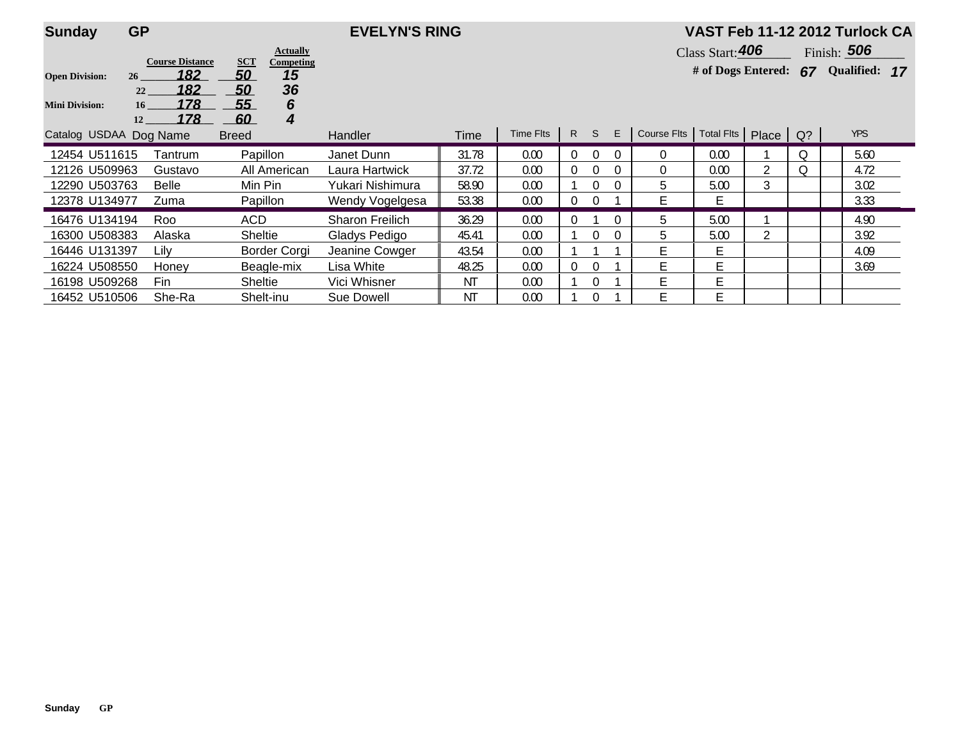| <b>Sunday</b>                                  | <b>GP</b>                                                     |                              |                                   | <b>EVELYN'S RING</b>   |       |           |   |                |          |                                       | VAST Feb 11-12 2012 Turlock CA |                                   |    |               |  |  |  |
|------------------------------------------------|---------------------------------------------------------------|------------------------------|-----------------------------------|------------------------|-------|-----------|---|----------------|----------|---------------------------------------|--------------------------------|-----------------------------------|----|---------------|--|--|--|
|                                                |                                                               |                              | <b>Actually</b>                   |                        |       |           |   |                |          |                                       |                                | Class Start: 406<br>Finish: $506$ |    |               |  |  |  |
| <b>Open Division:</b><br><b>Mini Division:</b> | <b>Course Distance</b><br>182<br>26<br>182<br>22<br>178<br>16 | <b>SCT</b><br>50<br>50<br>55 | <b>Competing</b><br>15<br>36<br>6 |                        |       |           |   |                |          |                                       | # of Dogs Entered:             |                                   | 67 | Qualified: 17 |  |  |  |
| Catalog USDAA Dog Name                         | 178<br>12                                                     | 60<br><b>Breed</b>           | 4                                 | <b>Handler</b>         | Time  | Time Flts |   | R S            | E        | Course Fits   Total Fits   Place   Q? |                                |                                   |    | <b>YPS</b>    |  |  |  |
| 12454 U511615                                  | Tantrum                                                       |                              | Papillon                          | Janet Dunn             | 31.78 | 0.00      | 0 | $\overline{0}$ |          | $\Omega$                              | 0.00                           |                                   | O. | 5.60          |  |  |  |
| 12126 U509963                                  | Gustavo                                                       |                              | All American                      | Laura Hartwick         | 37.72 | 0.00      | 0 | $\overline{0}$ |          | 0                                     | 0.00                           | 2                                 |    | 4.72          |  |  |  |
| 12290 U503763                                  | <b>Belle</b>                                                  |                              | Min Pin                           | Yukari Nishimura       | 58.90 | 0.00      |   | 0              |          | 5                                     | 5.00                           | 3                                 |    | 3.02          |  |  |  |
| 12378 U134977                                  | Zuma                                                          |                              | Papillon                          | Wendy Vogelgesa        | 53.38 | 0.00      | 0 | $\Omega$       |          |                                       | E                              |                                   |    | 3.33          |  |  |  |
| 16476 U134194                                  | Roo                                                           | <b>ACD</b>                   |                                   | <b>Sharon Freilich</b> | 36.29 | 0.00      |   |                |          | 5                                     | 5.00                           |                                   |    | 4.90          |  |  |  |
| 16300 U508383                                  | Alaska                                                        | <b>Sheltie</b>               |                                   | Gladys Pedigo          | 45.41 | 0.00      |   | 0              | $\Omega$ | 5                                     | 5.00                           | 2                                 |    | 3.92          |  |  |  |
| 16446 U131397                                  | Lilv                                                          |                              | Border Corgi                      | Jeanine Cowger         | 43.54 | 0.00      |   |                |          |                                       | Е                              |                                   |    | 4.09          |  |  |  |
| 16224 U508550                                  | Honey                                                         |                              | Beagle-mix                        | Lisa White             | 48.25 | 0.00      |   | $\Omega$       |          | Е                                     | E                              |                                   |    | 3.69          |  |  |  |
| 16198 U509268                                  | Fin                                                           |                              | Sheltie                           | Vici Whisner           | ΝT    | 0.00      |   | 0              |          | Е                                     | E                              |                                   |    |               |  |  |  |
| 16452 U510506                                  | She-Ra                                                        |                              | Shelt-inu                         | Sue Dowell             | ΝT    | 0.00      |   | 0              |          | Е                                     | E                              |                                   |    |               |  |  |  |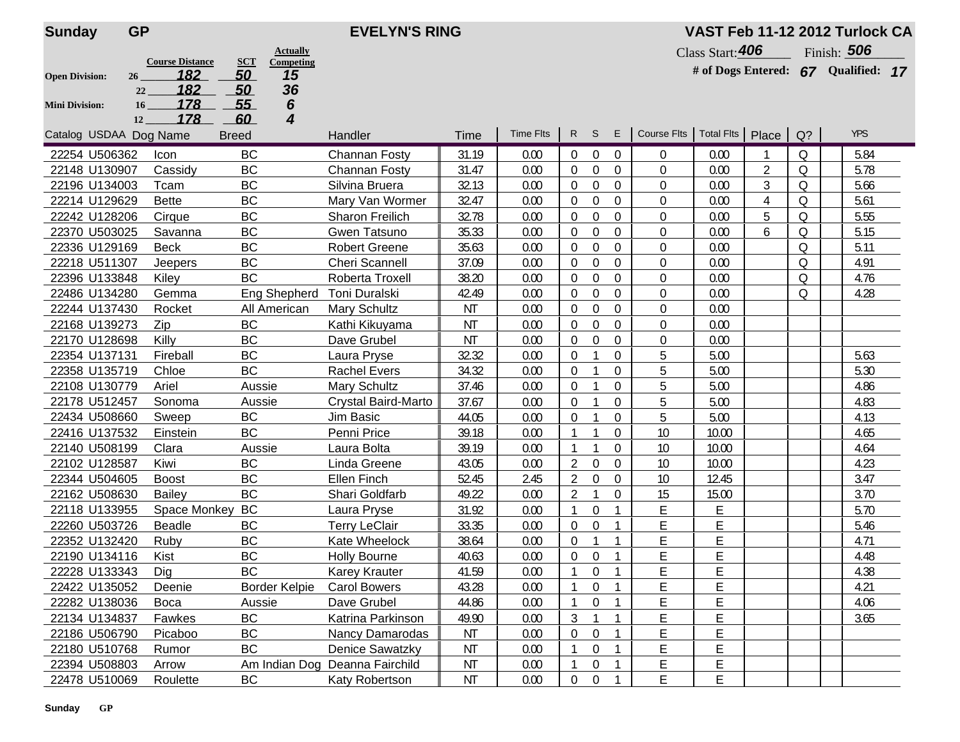| <b>Sunday</b>          | <b>GP</b>              | <b>EVELYN'S RING</b>                              |                                |           |                  |                |                  |                |                    |                  |                         | VAST Feb 11-12 2012 Turlock CA |                                     |  |  |
|------------------------|------------------------|---------------------------------------------------|--------------------------------|-----------|------------------|----------------|------------------|----------------|--------------------|------------------|-------------------------|--------------------------------|-------------------------------------|--|--|
|                        | <b>Course Distance</b> | <b>Actually</b><br><b>SCT</b><br><b>Competing</b> |                                |           |                  |                |                  |                |                    | Class Start: 406 |                         |                                | Finish: 506                         |  |  |
| <b>Open Division:</b>  | 182<br>26              | 50<br>15                                          |                                |           |                  |                |                  |                |                    |                  |                         |                                | # of Dogs Entered: 67 Qualified: 17 |  |  |
|                        | 182<br>22              | 36<br>50                                          |                                |           |                  |                |                  |                |                    |                  |                         |                                |                                     |  |  |
| <b>Mini Division:</b>  | 178<br>16 <sub>1</sub> | 55<br>6                                           |                                |           |                  |                |                  |                |                    |                  |                         |                                |                                     |  |  |
|                        | 178<br>12              | 60<br>4                                           |                                |           |                  |                |                  |                |                    |                  |                         |                                |                                     |  |  |
| Catalog USDAA Dog Name |                        | <b>Breed</b>                                      | Handler                        | Time      | <b>Time Flts</b> | $\mathsf{R}$   | S.               | Е              | <b>Course Flts</b> |                  | Total Fits   Place   Q? |                                | <b>YPS</b>                          |  |  |
| 22254 U506362          | Icon                   | <b>BC</b>                                         | Channan Fosty                  | 31.19     | 0.00             | $\overline{0}$ | $\overline{0}$   | 0              | $\Omega$           | 0.00             |                         | 0                              | 5.84                                |  |  |
| 22148 U130907          | Cassidy                | <b>BC</b>                                         | Channan Fosty                  | 31.47     | 0.00             | $\overline{0}$ | $\boldsymbol{0}$ | $\mathbf{0}$   | $\mathbf{0}$       | 0.00             | $\overline{2}$          | Q                              | 5.78                                |  |  |
| 22196 U134003          | Tcam                   | <b>BC</b>                                         | Silvina Bruera                 | 32.13     | 0.00             | $\Omega$       | $\mathbf 0$      | 0              | $\mathbf 0$        | 0.00             | 3                       | Q                              | 5.66                                |  |  |
| 22214 U129629          | <b>Bette</b>           | <b>BC</b>                                         | Mary Van Wormer                | 32.47     | 0.00             | $\overline{0}$ | $\boldsymbol{0}$ | $\mathbf{0}$   | 0                  | 0.00             | 4                       | Q                              | 5.61                                |  |  |
| 22242 U128206          | Cirque                 | <b>BC</b>                                         | Sharon Freilich                | 32.78     | 0.00             | $\overline{0}$ | $\mathbf 0$      | 0              | $\mathbf{0}$       | 0.00             | 5                       | Q                              | 5.55                                |  |  |
| 22370 U503025          | Savanna                | <b>BC</b>                                         | Gwen Tatsuno                   | 35.33     | 0.00             | $\Omega$       | $\theta$         | $\Omega$       | $\mathbf 0$        | 0.00             | 6                       | $\circ$                        | 5.15                                |  |  |
| 22336 U129169          | <b>Beck</b>            | <b>BC</b>                                         | <b>Robert Greene</b>           | 35.63     | 0.00             | $\Omega$       | $\Omega$         | 0              | $\theta$           | 0.00             |                         | $\Omega$                       | 5.11                                |  |  |
| 22218 U511307          | Jeepers                | BC                                                | <b>Cheri Scannell</b>          | 37.09     | 0.00             | $\overline{0}$ | $\mathbf 0$      | $\Omega$       | 0                  | 0.00             |                         | Q                              | 4.91                                |  |  |
| 22396 U133848          | Kiley                  | <b>BC</b>                                         | Roberta Troxell                | 38.20     | 0.00             | $\Omega$       | $\theta$         | $\Omega$       | $\theta$           | 0.00             |                         | 0                              | 4.76                                |  |  |
| 22486 U134280          | Gemma                  | <b>Eng Shepherd</b>                               | Toni Duralski                  | 42.49     | 0.00             | $\overline{0}$ | $\mathbf 0$      | $\mathbf{0}$   | 0                  | 0.00             |                         | 0                              | 4.28                                |  |  |
| 22244 U137430          | Rocket                 | All American                                      | <b>Mary Schultz</b>            | <b>NT</b> | 0.00             | $\Omega$       | $\overline{0}$   | $\Omega$       | $\mathbf 0$        | 0.00             |                         |                                |                                     |  |  |
| 22168 U139273          | Zip                    | <b>BC</b>                                         | Kathi Kikuyama                 | <b>NT</b> | 0.00             | $\overline{0}$ | $\mathbf 0$      | $\mathbf{0}$   | 0                  | 0.00             |                         |                                |                                     |  |  |
| 22170 U128698          | Killy                  | <b>BC</b>                                         | Dave Grubel                    | <b>NT</b> | 0.00             | $\overline{0}$ | $\theta$         | $\mathbf{0}$   | $\mathbf 0$        | 0.00             |                         |                                |                                     |  |  |
| 22354 U137131          | Fireball               | <b>BC</b>                                         | Laura Pryse                    | 32.32     | 0.00             | $\Omega$       |                  | $\Omega$       | 5                  | 5.00             |                         |                                | 5.63                                |  |  |
| 22358 U135719          | Chloe                  | <b>BC</b>                                         | <b>Rachel Evers</b>            | 34.32     | 0.00             | $\Omega$       |                  | 0              | 5                  | 5.00             |                         |                                | 5.30                                |  |  |
| 22108 U130779          | Ariel                  | Aussie                                            | Mary Schultz                   | 37.46     | 0.00             | $\overline{0}$ |                  | $\Omega$       | 5                  | 5.00             |                         |                                | 4.86                                |  |  |
| 22178 U512457          | Sonoma                 | Aussie                                            | Crystal Baird-Marto            | 37.67     | 0.00             | $\Omega$       |                  | 0              | 5                  | 5.00             |                         |                                | 4.83                                |  |  |
| 22434 U508660          | Sweep                  | <b>BC</b>                                         | Jim Basic                      | 44.05     | 0.00             | $\overline{0}$ | $\mathbf 1$      | 0              | 5                  | 5.00             |                         |                                | 4.13                                |  |  |
| 22416 U137532          | Einstein               | <b>BC</b>                                         | Penni Price                    | 39.18     | 0.00             |                |                  | 0              | 10                 | 10.00            |                         |                                | 4.65                                |  |  |
| 22140 U508199          | Clara                  | Aussie                                            | Laura Bolta                    | 39.19     | 0.00             |                |                  | $\mathbf{0}$   | 10                 | 10.00            |                         |                                | 4.64                                |  |  |
| 22102 U128587          | Kiwi                   | <b>BC</b>                                         | Linda Greene                   | 43.05     | 0.00             | $\overline{2}$ | $\overline{0}$   | 0              | 10                 | 10.00            |                         |                                | 4.23                                |  |  |
| 22344 U504605          | <b>Boost</b>           | <b>BC</b>                                         | <b>Ellen Finch</b>             | 52.45     | 2.45             | 2              | $\theta$         | $\Omega$       | 10                 | 12.45            |                         |                                | 3.47                                |  |  |
| 22162 U508630          | Bailey                 | <b>BC</b>                                         | Shari Goldfarb                 | 49.22     | 0.00             | $\overline{2}$ |                  | $\Omega$       | 15                 | 15.00            |                         |                                | 3.70                                |  |  |
| 22118 U133955          | Space Monkey           | BC                                                | Laura Pryse                    | 31.92     | 0.00             |                | $\boldsymbol{0}$ |                | Ε                  | Ε                |                         |                                | 5.70                                |  |  |
| 22260 U503726          | <b>Beadle</b>          | <b>BC</b>                                         | <b>Terry LeClair</b>           | 33.35     | 0.00             | $\Omega$       | $\theta$         | -1             | E                  | E                |                         |                                | 5.46                                |  |  |
| 22352 U132420          | Ruby                   | <b>BC</b>                                         | Kate Wheelock                  | 38.64     | 0.00             | $\overline{0}$ | $\mathbf{1}$     |                | E                  | E                |                         |                                | 4.71                                |  |  |
| 22190 U134116          | Kist                   | <b>BC</b>                                         | <b>Holly Bourne</b>            | 40.63     | 0.00             | $\overline{0}$ | $\boldsymbol{0}$ | $\mathbf{1}$   | E                  | E                |                         |                                | 4.48                                |  |  |
| 22228 U133343          | Dig                    | BC                                                | <b>Karey Krauter</b>           | 41.59     | 0.00             | $\mathbf{1}$   | $\boldsymbol{0}$ | $\overline{1}$ | E                  | E                |                         |                                | 4.38                                |  |  |
| 22422 U135052          | Deenie                 | <b>Border Kelpie</b>                              | <b>Carol Bowers</b>            | 43.28     | 0.00             |                | 0                |                | E                  | E                |                         |                                | 4.21                                |  |  |
| 22282 U138036          | Boca                   | Aussie                                            | Dave Grubel                    | 44.86     | 0.00             |                | 0                |                | Ε                  | Е                |                         |                                | 4.06                                |  |  |
| 22134 U134837          | Fawkes                 | BC                                                | Katrina Parkinson              | 49.90     | 0.00             | 3              |                  |                | Ε                  | E                |                         |                                | 3.65                                |  |  |
| 22186 U506790          | Picaboo                | BC                                                | Nancy Damarodas                | ΝT        | 0.00             | 0              | $\pmb{0}$        |                | Ε                  | E                |                         |                                |                                     |  |  |
| 22180 U510768          | Rumor                  | BC                                                | Denice Sawatzky                | NT        | 0.00             |                | 0                |                | E                  | E                |                         |                                |                                     |  |  |
| 22394 U508803          | Arrow                  |                                                   | Am Indian Dog Deanna Fairchild | ΝT        | 0.00             |                | 0                |                | E                  | E                |                         |                                |                                     |  |  |
| 22478 U510069          | Roulette               | BC                                                | Katy Robertson                 | ΝT        | 0.00             | $\pmb{0}$      | $\mathbf 0$      |                | E                  | E                |                         |                                |                                     |  |  |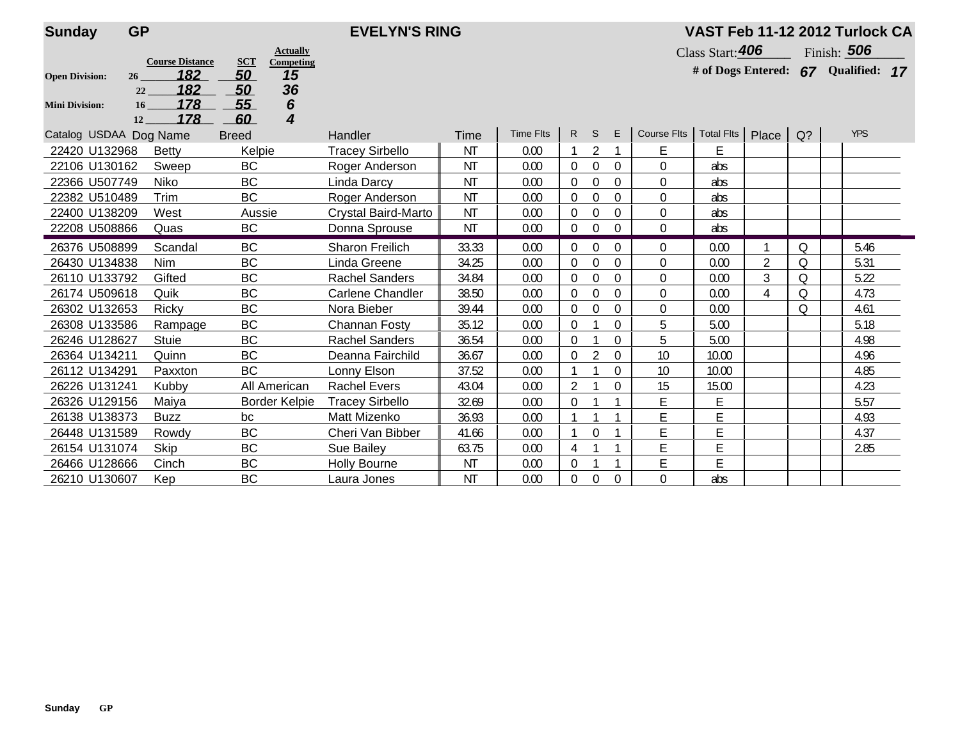| <b>Sunday</b>          | <b>GP</b>                                        | <b>EVELYN'S RING</b>                            |                         |           |                  |                |                |          |                  | VAST Feb 11-12 2012 Turlock CA |                |       |                                  |    |  |  |  |  |
|------------------------|--------------------------------------------------|-------------------------------------------------|-------------------------|-----------|------------------|----------------|----------------|----------|------------------|--------------------------------|----------------|-------|----------------------------------|----|--|--|--|--|
|                        |                                                  | <b>Actually</b>                                 |                         |           |                  |                |                |          |                  | Class Start: 406               |                |       | Finish: 506                      |    |  |  |  |  |
| <b>Open Division:</b>  | <b>Course Distance</b><br>182<br>26<br>182<br>22 | <b>SCT</b><br>Competing<br>50<br>15<br>36<br>50 |                         |           |                  |                |                |          |                  |                                |                |       | # of Dogs Entered: 67 Qualified: | 17 |  |  |  |  |
| <b>Mini Division:</b>  | 178<br>16<br>178<br>12                           | 6<br>55<br>4<br>60                              |                         |           |                  |                |                |          |                  |                                |                |       |                                  |    |  |  |  |  |
| Catalog USDAA Dog Name |                                                  | <b>Breed</b>                                    | <b>Handler</b>          | Time      | <b>Time Flts</b> | R.             | S.             | E        | Course Flts      | Total Flts                     | Place          | $Q$ ? | <b>YPS</b>                       |    |  |  |  |  |
| 22420 U132968          | <b>Betty</b>                                     | Kelpie                                          | <b>Tracey Sirbello</b>  | <b>NT</b> | 0.00             |                | $\overline{2}$ |          | E                | E                              |                |       |                                  |    |  |  |  |  |
| 22106 U130162          | Sweep                                            | <b>BC</b>                                       | Roger Anderson          | ΝT        | 0.00             | $\Omega$       | $\Omega$       | $\theta$ | $\boldsymbol{0}$ | abs                            |                |       |                                  |    |  |  |  |  |
| 22366 U507749          | Niko                                             | <b>BC</b>                                       | Linda Darcy             | <b>NT</b> | 0.00             | $\theta$       | $\theta$       | $\theta$ | $\mathbf 0$      | abs                            |                |       |                                  |    |  |  |  |  |
| 22382 U510489          | Trim                                             | <b>BC</b>                                       | Roger Anderson          | <b>NT</b> | 0.00             | $\theta$       | $\Omega$       | $\theta$ | $\mathbf 0$      | abs                            |                |       |                                  |    |  |  |  |  |
| 22400 U138209          | West                                             | Aussie                                          | Crystal Baird-Marto     | <b>NT</b> | 0.00             | $\theta$       | $\theta$       | $\Omega$ | $\overline{0}$   | abs                            |                |       |                                  |    |  |  |  |  |
| 22208 U508866          | Quas                                             | BC                                              | Donna Sprouse           | <b>NT</b> | 0.00             | $\theta$       | $\Omega$       | $\Omega$ | $\Omega$         | abs                            |                |       |                                  |    |  |  |  |  |
| 26376 U508899          | Scandal                                          | <b>BC</b>                                       | <b>Sharon Freilich</b>  | 33.33     | 0.00             | $\theta$       | $\Omega$       | $\theta$ | $\Omega$         | 0.00                           |                | Q     | 5.46                             |    |  |  |  |  |
| 26430 U134838          | Nim                                              | <b>BC</b>                                       | Linda Greene            | 34.25     | 0.00             | $\theta$       | $\Omega$       | $\Omega$ | $\mathbf 0$      | 0.00                           | $\overline{2}$ | Q     | 5.31                             |    |  |  |  |  |
| 26110 U133792          | Gifted                                           | <b>BC</b>                                       | <b>Rachel Sanders</b>   | 34.84     | 0.00             | $\theta$       | $\Omega$       | 0        | $\Omega$         | 0.00                           | 3              | 0     | 5.22                             |    |  |  |  |  |
| 26174 U509618          | Quik                                             | <b>BC</b>                                       | <b>Carlene Chandler</b> | 38.50     | 0.00             | $\theta$       | $\overline{0}$ | $\Omega$ | $\mathbf 0$      | 0.00                           | 4              | Q     | 4.73                             |    |  |  |  |  |
| 26302 U132653          | <b>Ricky</b>                                     | <b>BC</b>                                       | Nora Bieber             | 39.44     | 0.00             | $\theta$       | $\Omega$       | $\Omega$ | $\Omega$         | 0.00                           |                | 0     | 4.61                             |    |  |  |  |  |
| 26308 U133586          | Rampage                                          | <b>BC</b>                                       | Channan Fosty           | 35.12     | 0.00             | $\theta$       |                | $\Omega$ | 5                | 5.00                           |                |       | 5.18                             |    |  |  |  |  |
| 26246 U128627          | <b>Stuie</b>                                     | <b>BC</b>                                       | <b>Rachel Sanders</b>   | 36.54     | 0.00             | $\Omega$       |                | $\theta$ | 5                | 5.00                           |                |       | 4.98                             |    |  |  |  |  |
| 26364 U134211          | Quinn                                            | <b>BC</b>                                       | Deanna Fairchild        | 36.67     | 0.00             | $\theta$       | $\mathfrak{D}$ | $\Omega$ | 10               | 10.00                          |                |       | 4.96                             |    |  |  |  |  |
| 26112 U134291          | Paxxton                                          | <b>BC</b>                                       | Lonny Elson             | 37.52     | 0.00             |                |                | $\Omega$ | 10               | 10.00                          |                |       | 4.85                             |    |  |  |  |  |
| 26226 U131241          | Kubby                                            | All American                                    | <b>Rachel Evers</b>     | 43.04     | 0.00             | $\overline{2}$ |                | $\Omega$ | 15               | 15.00                          |                |       | 4.23                             |    |  |  |  |  |
| 26326 U129156          | Maiya                                            | <b>Border Kelpie</b>                            | <b>Tracey Sirbello</b>  | 32.69     | 0.00             | $\theta$       |                |          | E                | Е                              |                |       | 5.57                             |    |  |  |  |  |
| 26138 U138373          | <b>Buzz</b>                                      | bc                                              | Matt Mizenko            | 36.93     | 0.00             |                |                |          | E                | E                              |                |       | 4.93                             |    |  |  |  |  |
| 26448 U131589          | Rowdy                                            | <b>BC</b>                                       | Cheri Van Bibber        | 41.66     | 0.00             |                | $\Omega$       |          | E                | $\mathsf E$                    |                |       | 4.37                             |    |  |  |  |  |
| 26154 U131074          | Skip                                             | <b>BC</b>                                       | Sue Bailey              | 63.75     | 0.00             | 4              |                |          | E                | E                              |                |       | 2.85                             |    |  |  |  |  |
| 26466 U128666          | Cinch                                            | <b>BC</b>                                       | <b>Holly Bourne</b>     | NT        | 0.00             | $\theta$       |                |          | E                | E                              |                |       |                                  |    |  |  |  |  |
| 26210 U130607          | Kep                                              | <b>BC</b>                                       | Laura Jones             | <b>NT</b> | 0.00             | $\theta$       | $\theta$       | $\Omega$ | $\mathbf 0$      | abs                            |                |       |                                  |    |  |  |  |  |